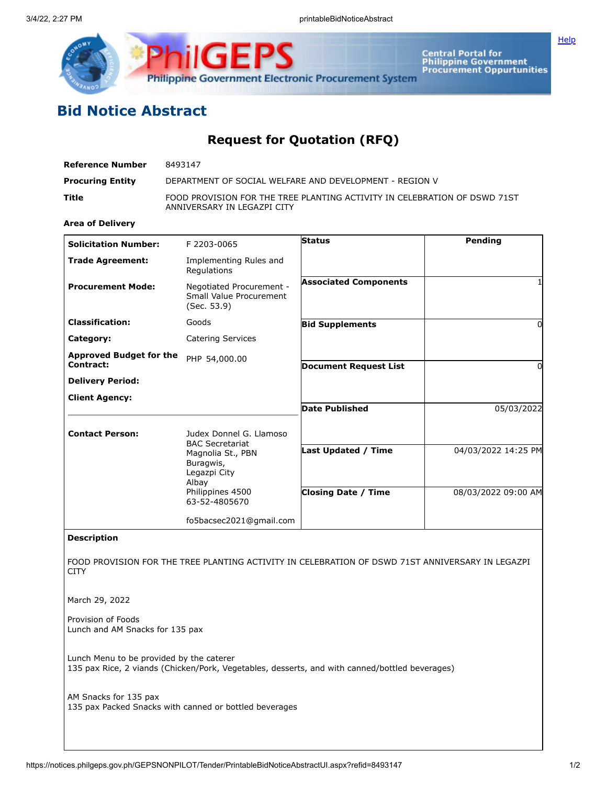

Central Portal for<br>Philippine Government<br>Procurement Oppurtunities

## **Bid Notice Abstract**

## **Request for Quotation (RFQ)**

| Reference Number        | 8493147                                                                                                  |
|-------------------------|----------------------------------------------------------------------------------------------------------|
| <b>Procuring Entity</b> | DEPARTMENT OF SOCIAL WELFARE AND DEVELOPMENT - REGION V                                                  |
| Title                   | FOOD PROVISION FOR THE TREE PLANTING ACTIVITY IN CELEBRATION OF DSWD 71ST<br>ANNIVERSARY IN LEGAZPI CITY |
|                         |                                                                                                          |

## **Area of Delivery**

| <b>Solicitation Number:</b>    | F 2203-0065                                                        | <b>Status</b>                | Pending             |
|--------------------------------|--------------------------------------------------------------------|------------------------------|---------------------|
| <b>Trade Agreement:</b>        | Implementing Rules and<br>Regulations                              |                              |                     |
| <b>Procurement Mode:</b>       | Negotiated Procurement -<br>Small Value Procurement<br>(Sec. 53.9) | <b>Associated Components</b> |                     |
| <b>Classification:</b>         | Goods                                                              | <b>Bid Supplements</b>       |                     |
| Category:                      | <b>Catering Services</b>                                           |                              |                     |
| <b>Approved Budget for the</b> | PHP 54,000.00                                                      |                              |                     |
| Contract:                      |                                                                    | <b>Document Request List</b> |                     |
| <b>Delivery Period:</b>        |                                                                    |                              |                     |
| <b>Client Agency:</b>          |                                                                    |                              |                     |
|                                |                                                                    | Date Published               | 05/03/2022          |
| <b>Contact Person:</b>         | Judex Donnel G. Llamoso<br><b>BAC Secretariat</b>                  |                              |                     |
|                                | Magnolia St., PBN<br>Buragwis,<br>Legazpi City<br>Albay            | <b>Last Updated / Time</b>   | 04/03/2022 14:25 PM |
|                                | Philippines 4500<br>63-52-4805670                                  | <b>Closing Date / Time</b>   | 08/03/2022 09:00 AM |
|                                | fo5bacsec2021@gmail.com                                            |                              |                     |

## **Description**

FOOD PROVISION FOR THE TREE PLANTING ACTIVITY IN CELEBRATION OF DSWD 71ST ANNIVERSARY IN LEGAZPI **CITY** 

March 29, 2022

Provision of Foods Lunch and AM Snacks for 135 pax

Lunch Menu to be provided by the caterer 135 pax Rice, 2 viands (Chicken/Pork, Vegetables, desserts, and with canned/bottled beverages)

AM Snacks for 135 pax 135 pax Packed Snacks with canned or bottled beverages